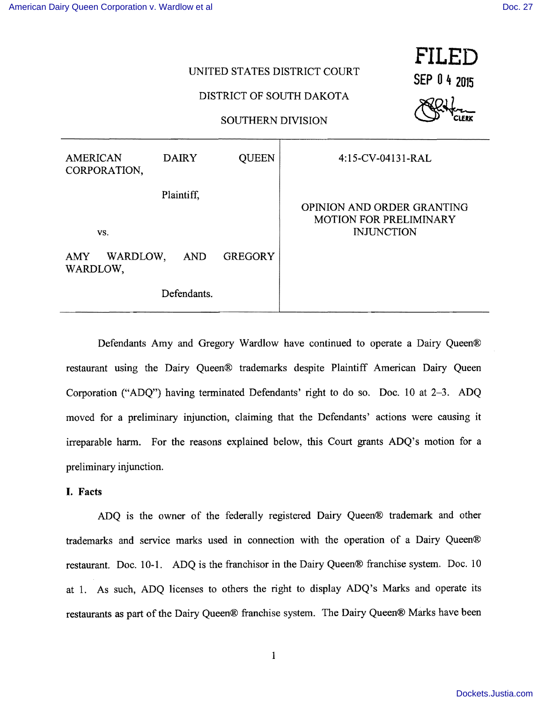| UNITED STATES DISTRICT COURT<br>DISTRICT OF SOUTH DAKOTA<br><b>SOUTHERN DIVISION</b> |              |                                                                                  |                   | FILED<br>SEP 0 4 2015 |
|--------------------------------------------------------------------------------------|--------------|----------------------------------------------------------------------------------|-------------------|-----------------------|
| <b>AMERICAN</b><br>CORPORATION,                                                      | <b>DAIRY</b> | <b>QUEEN</b>                                                                     | 4:15-CV-04131-RAL |                       |
| Plaintiff,<br>VS.                                                                    |              | OPINION AND ORDER GRANTING<br><b>MOTION FOR PRELIMINARY</b><br><b>INJUNCTION</b> |                   |                       |
| WARDLOW,<br><b>GREGORY</b><br>AMY .<br><b>AND</b><br>WARDLOW,                        |              |                                                                                  |                   |                       |
| Defendants.                                                                          |              |                                                                                  |                   |                       |

Defendants Amy and Gregory Wardlow have continued to operate a Dairy Queen® restaurant using the Dairy Queen® trademarks despite Plaintiff American Dairy Queen Corporation ("ADQ") having terminated Defendants' right to do so. Doc. 10 at 2–3. ADQ moved for a preliminary injunction, claiming that the Defendants' actions were causing it irreparable harm. For the reasons explained below, this Court grants ADQ's motion for a preliminary injunction.

### I. Facts

ADQ is the owner of the federally registered Dairy Queen® trademark and other trademarks and service marks used in connection with the operation of a Dairy Queen® restaurant. Doc. 10-1. ADQ is the franchisor in the Dairy Queen® franchise system. Doc. 10 at 1. As such, ADQ licenses to others the right to display ADQ's Marks and operate its restaurants as part of the Dairy Queen® franchise system. The Dairy Queen® Marks have been

1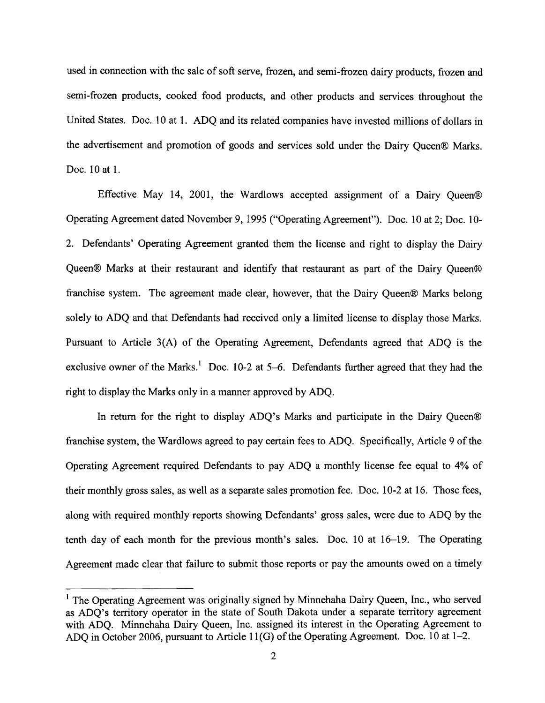used in connection with the sale of soft serve, frozen, and semi-frozen dairy products, frozen and semi-frozen products, cooked food products, and other products and services throughout the United States. Doc. 10 at 1. ADQ and its related companies have invested millions of dollars in the advertisement and promotion of goods and services sold under the Dairy Queen® Marks. Doc. 10 at 1.

Effective May 14, 2001, the Wardlows accepted assignment of a Dairy Queen® Operating Agreement dated November 9, 1995 ("Operating Agreement"). Doc. 10 at 2; Doc. 10- 2. Defendants' Operating Agreement granted them the license and right to display the Dairy Queen® Marks at their restaurant and identify that restaurant as part of the Dairy Queen® franchise system. The agreement made clear, however, that the Dairy Queen® Marks belong solely to ADQ and that Defendants had received only a limited license to display those Marks. Pursuant to Article 3(A) of the Operating Agreement, Defendants agreed that ADQ is the exclusive owner of the Marks.<sup>1</sup> Doc. 10-2 at 5-6. Defendants further agreed that they had the right to display the Marks only in a manner approved by ADQ.

In return for the right to display ADQ's Marks and participate in the Dairy Queen® franchise system, the Wardlows agreed to pay certain fees to ADQ. Specifically, Article 9 ofthe Operating Agreement required Defendants to pay ADQ a monthly license fee equal to 4% of their monthly gross sales, as well as a separate sales promotion fee. Doc. 102 at 16. Those fees, along with required monthly reports showing Defendants' gross sales, were due to ADQ by the tenth day of each month for the previous month's sales. Doc.  $10$  at  $16-19$ . The Operating Agreement made clear that failure to submit those reports or pay the amounts owed on a timely

 $<sup>1</sup>$  The Operating Agreement was originally signed by Minnehaha Dairy Queen, Inc., who served</sup> as ADQ's territory operator in the state of South Dakota under a separate territory agreement with ADQ. Minnehaha Dairy Queen, Inc. assigned its interest in the Operating Agreement to ADQ in October 2006, pursuant to Article  $11(G)$  of the Operating Agreement. Doc. 10 at 1-2.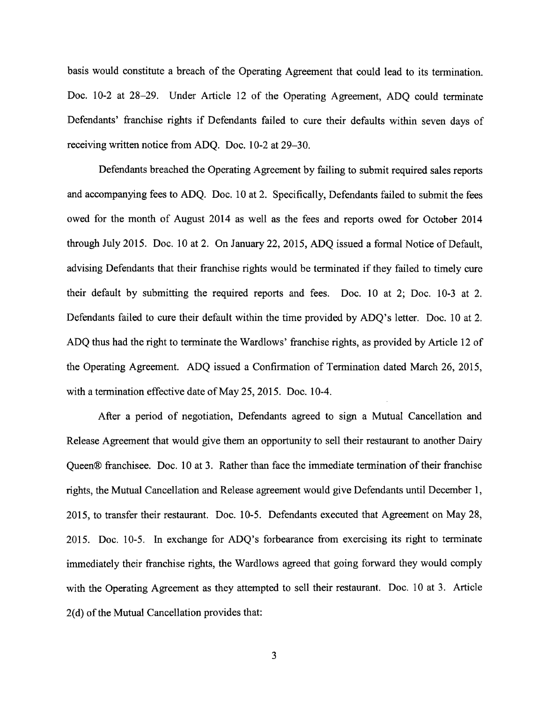basis would constitute a breach of the Operating Agreement that could lead to its termination. Doc. 10-2 at 28-29. Under Article 12 of the Operating Agreement, ADQ could terminate Defendants' franchise rights if Defendants failed to cure their defaults within seven days of receiving written notice from ADQ. Doc. 10-2 at 29–30.

Defendants breached the Operating Agreement by failing to submit required sales reports and accompanying fees to ADQ. Doc. 10 at 2. Specifically, Defendants failed to submit the fees owed for the month of August 2014 as well as the fees and reports owed for October 2014 through July 2015. Doc. 10 at 2. On January 22,2015, ADQ issued a formal Notice of Default, advising Defendants that their franchise rights would be terminated if they failed to timely cure their default by submitting the required reports and fees. Doc. 10 at 2; Doc. 10-3 at 2. Defendants failed to cure their default within the time provided by ADQ's letter. Doc. 10 at 2. ADQ thus had the right to terminate the Wardlows' franchise rights, as provided by Article 12 of the Operating Agreement. ADQ issued a Confirmation of Termination dated March 26, 2015, with a termination effective date of May 25, 2015. Doc. 10-4.

After a period of negotiation, Defendants agreed to sign a Mutual Cancellation and Release Agreement that would give them an opportunity to sell their restaurant to another Dairy Queen® franchisee. Doc. 10 at 3. Rather than face the immediate termination of their franchise rights, the Mutual Cancellation and Release agreement would give Defendants until December 1, 2015, to transfer their restaurant. Doc. 10-5. Defendants executed that Agreement on May 28, 2015. Doc. 10-5. In exchange for ADO's forbearance from exercising its right to terminate immediately their franchise rights, the Wardlows agreed that going forward they would comply with the Operating Agreement as they attempted to sell their restaurant. Doc. 10 at 3. Article  $2(d)$  of the Mutual Cancellation provides that: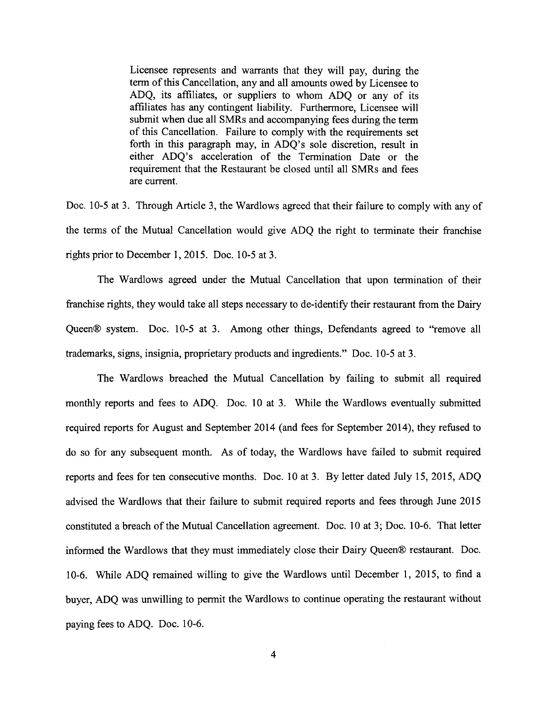Licensee represents and warrants that they will pay, during the term of this Cancellation, any and all amounts owed by Licensee to ADQ, its affiliates, or suppliers to whom ADQ or any of its affiliates has any contingent liability. Furthermore, Licensee will submit when due all SMRs and accompanying fees during the term of this Cancellation. Failure to comply with the requirements set forth in this paragraph may, in ADQ's sole discretion, result in either ADQ's acceleration of the Termination Date or the requirement that the Restaurant be closed until all SMRs and fees are current.

Doc. 10-5 at 3. Through Article 3, the Wardlows agreed that their failure to comply with any of the terms of the Mutual Cancellation would give ADQ the right to terminate their franchise rights prior to December 1, 2015. Doc.  $10-5$  at 3.

The Wardlows agreed under the Mutual Cancellation that upon termination of their franchise rights, they would take all steps necessary to de-identify their restaurant from the Dairy Queen® system. Doc. 10-5 at 3. Among other things, Defendants agreed to "remove all trademarks, signs, insignia, proprietary products and ingredients." Doc. 10-5 at 3.

The Wardlows breached the Mutual Cancellation by failing to submit all required monthly reports and fees to ADQ. Doc. 10 at 3. While the Wardlows eventually submitted required reports for August and September 2014 (and fees for September 2014), they refused to do so for any subsequent month. As of today, the Wardlows have failed to submit required reports and fees for ten consecutive months. Doc. 10 at 3. By letter dated July 15, 2015, ADQ advised the Wardlows that their failure to submit required reports and fees through June 2015 constituted a breach of the Mutual Cancellation agreement. Doc. 10 at 3; Doc. 10-6. That letter informed the Wardlows that they must immediately close their Dairy Queen® restaurant. Doc. 106. While ADQ remained willing to give the Wardlows until December 1, 2015, to find a buyer, ADQ was unwilling to permit the Wardlows to continue operating the restaurant without paying fees to ADQ. Doc. 10-6.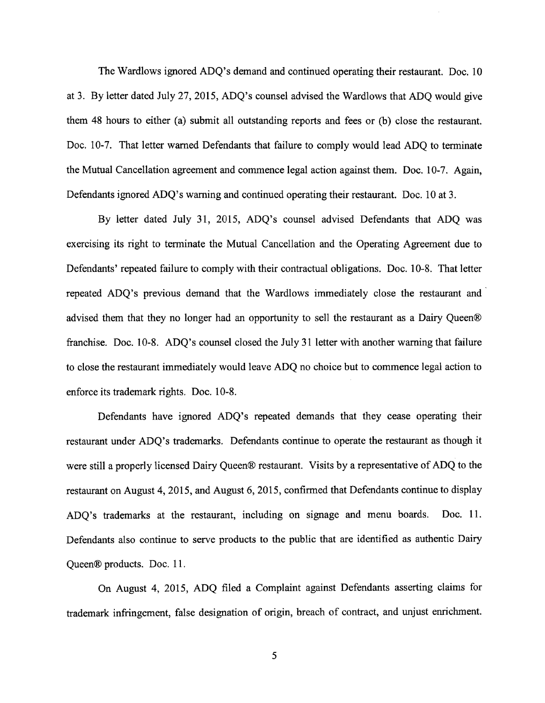The Wardlows ignored ADQ's demand and continued operating their restaurant. Doc. 10 at 3. By letter dated July 27,2015, ADQ's counsel advised the Wardlows that ADQ would give them 48 hours to either (a) submit all outstanding reports and fees or (b) close the restaurant. Doc. 10-7. That letter warned Defendants that failure to comply would lead ADQ to terminate the Mutual Cancellation agreement and commence legal action against them. Doc. 10-7. Again, Defendants ignored ADQ's warning and continued operating their restaurant. Doc. 10 at 3.

By letter dated July 31, 2015, ADQ's counsel advised Defendants that ADQ was exercising its right to terminate the Mutual Cancellation and the Operating Agreement due to Defendants' repeated failure to comply with their contractual obligations. Doc. 10-8. That letter repeated ADQ's previous demand that the Wardlows immediately close the restaurant and advised them that they no longer had an opportunity to sell the restaurant as a Dairy Queen® franchise. Doc. 10-8. ADQ's counsel closed the July 31 letter with another warning that failure to close the restaurant immediately would leave ADQ no choice but to commence legal action to enforce its trademark rights. Doc. 10-8.

Defendants have ignored ADQ's repeated demands that they cease operating their restaurant under ADQ's trademarks. Defendants continue to operate the restaurant as though it were still a properly licensed Dairy Queen® restaurant. Visits by a representative of ADQ to the restaurant on August 4,2015, and August 6,2015, confinned that Defendants continue to display ADQ's trademarks at the restaurant, including on signage and menu boards. Doc. 11. Defendants also continue to serve products to the public that are identified as authentic Dairy Queen® products. Doc. 11.

On August 4, 2015, ADQ filed a Complaint against Defendants asserting claims for trademark infringement, false designation of origin, breach of contract, and unjust enrichment.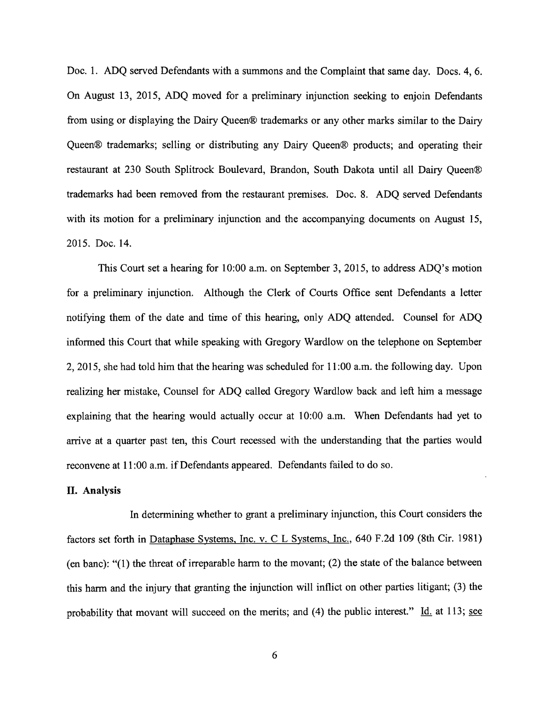Doc. 1. ADQ served Defendants with a summons and the Complaint that same day. Docs. 4, 6. On August 13, 2015, ADQ moved for a preliminary injunction seeking to enjoin Defendants from using or displaying the Dairy Queen® trademarks or any other marks similar to the Dairy Queen® trademarks; selling or distributing any Dairy Queen® products; and operating their restaurant at 230 South Splitrock Boulevard, Brandon, South Dakota until all Dairy Queen® trademarks had been removed from the restaurant premises. Doc. 8. ADQ served Defendants with its motion for a preliminary injunction and the accompanying documents on August 15, 2015. Doc. 14.

This Court set a hearing for 10:00 a.m. on September 3,2015, to address ADQ's motion for a preliminary injunction. Although the Clerk of Courts Office sent Defendants a letter notifying them of the date and time of this hearing, only ADQ attended. Counsel for ADQ informed this Court that while speaking with Gregory Wardlow on the telephone on September 2,2015, she had told him that the hearing was scheduled for 11 :00 a.m. the following day. Upon realizing her mistake, Counsel for ADQ called Gregory Wardlow back and left him a message explaining that the hearing would actually occur at 10:00 a.m. When Defendants had yet to arrive at a quarter past ten, this Court recessed with the understanding that the parties would reconvene at 11:00 a.m. if Defendants appeared. Defendants failed to do so.

## **II.** Analysis

In determining whether to grant a preliminary injunction, this Court considers the factors set forth in Dataphase Systems, Inc. v. C L Systems, Inc., 640 F.2d 109 (8th Cir. 1981) (en banc): "(1) the threat of irreparable harm to the movant; (2) the state of the balance between this harm and the injury that granting the injunction will inflict on other parties litigant; (3) the probability that movant will succeed on the merits; and (4) the public interest."  $\underline{Id}$  at 113; see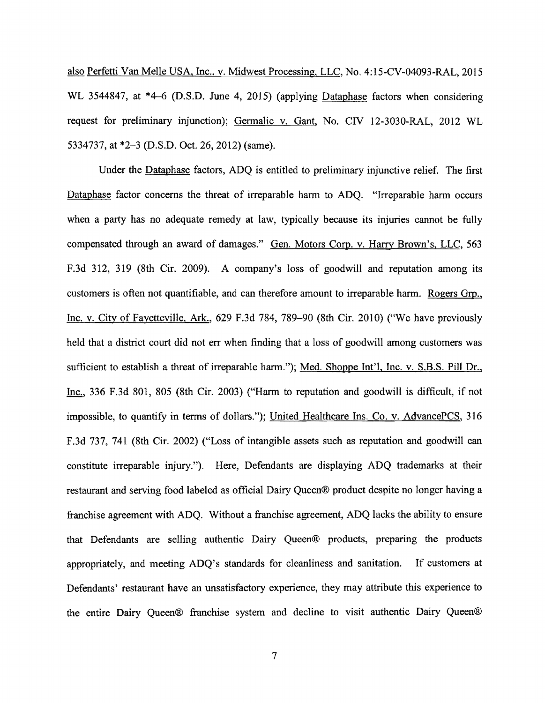also Perfetti Van Melle USA, Inc., v. Midwest Processing, LLC, No. 4:15-CV-04093-RAL, 2015 WL 3544847, at \*4-6 (D.S.D. June 4, 2015) (applying Dataphase factors when considering request for preliminary injunction); Germalic v. Gant, No. CIV 12-3030-RAL, 2012 WL 5334737, at \*2–3 (D.S.D. Oct. 26, 2012) (same).

Under the Dataphase factors, ADQ is entitled to preliminary injunctive relief. The first Dataphase factor concerns the threat of irreparable harm to ADQ. "Irreparable harm occurs when a party has no adequate remedy at law, typically because its injuries cannot be fully compensated through an award of damages." Gen. Motors Corp. v. Harry Brown's, LLC, 563 F.3d 312, 319 (8th Cir. 2009). A company's loss of goodwill and reputation among its customers is often not quantifiable, and can therefore amount to irreparable harm. Rogers Grp., Inc. v. City of Fayetteville, Ark., 629 F.3d 784, 789–90 (8th Cir. 2010) ("We have previously held that a district court did not err when finding that a loss of goodwill among customers was sufficient to establish a threat of irreparable harm."); Med. Shoppe Int'l, Inc. v. S.B.S. Pill Dr., Inc., 336 F.3d 801, 805 (8th Cir. 2003) ("Harm to reputation and goodwill is difficult, if not impossible, to quantify in terms of dollars."); United Healthcare Ins. Co. v. AdvancePCS, 316 F.3d 737, 741 (8th Cir. 2002) ("Loss of intangible assets such as reputation and goodwill can constitute irreparable injury."). Here, Defendants are displaying ADQ trademarks at their restaurant and serving food labeled as official Dairy Queen® product despite no longer having a franchise agreement with ADQ. Without a franchise agreement, ADQ lacks the ability to ensure that Defendants are selling authentic Dairy Queen® products, preparing the products appropriately, and meeting ADQ's standards for cleanliness and sanitation. If customers at Defendants' restaurant have an unsatisfactory experience, they may attribute this experience to the entire Dairy Queen® franchise system and decline to visit authentic Dairy Queen®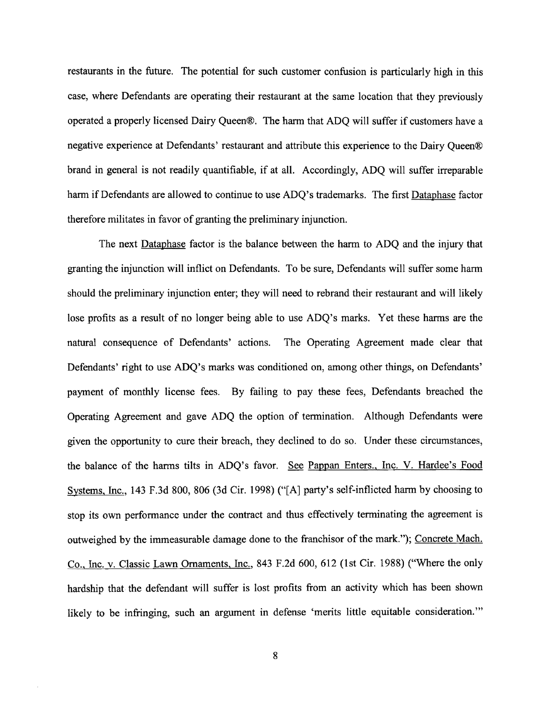restaurants in the future. The potential for such customer confusion is particularly high in this case, where Defendants are operating their restaurant at the same location that they previously operated a properly licensed Dairy Queen®. The harm that ADQ will suffer if customers have a negative experience at Defendants' restaurant and attribute this experience to the Dairy Queen® brand in general is not readily quantifiable, if at all. Accordingly, ADQ will suffer irreparable harm if Defendants are allowed to continue to use ADQ's trademarks. The first Dataphase factor therefore militates in favor of granting the preliminary injunction.

The next Dataphase factor is the balance between the harm to ADQ and the injury that granting the injunction will inflict on Defendants. To be sure, Defendants will suffer some hann should the preliminary injunction enter; they will need to rebrand their restaurant and will likely lose profits as a result of no longer being able to use ADQ's marks. Yet these harms are the natural consequence of Defendants' actions. The Operating Agreement made clear that Defendants' right to use ADQ's marks was conditioned on, among other things, on Defendants' payment of monthly license fees. By failing to pay these fees, Defendants breached the Operating Agreement and gave ADQ the option of tennination. Although Defendants were given the opportunity to cure their breach, they declined to do so. Under these circumstances, the balance of the harms tilts in ADQ's favor. See Pappan Enters., Inc. V. Hardee's Food Systems, Inc.,  $143$  F.3d 800, 806 (3d Cir. 1998) ("[A] party's self-inflicted harm by choosing to stop its own performance under the contract and thus effectively terminating the agreement is outweighed by the immeasurable damage done to the franchisor of the mark."); Concrete Mach. Co., Inc. v. Classic Lawn Ornaments, Inc., 843 F.2d 600, 612 (lst Cir. 1988) ("Where the only hardship that the defendant will suffer is lost profits from an activity which has been shown likely to be infringing, such an argument in defense 'merits little equitable consideration.'"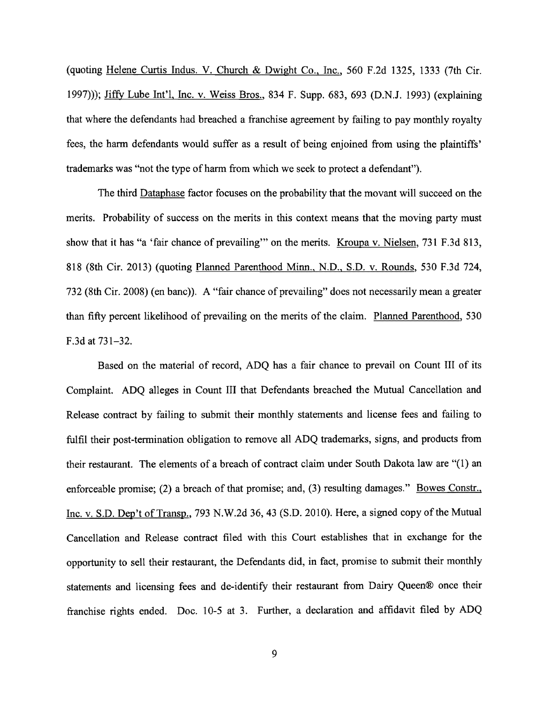(quoting Helene Curtis Indus. V. Church & Dwight Co., Inc., 560 F.2d 1325, 1333 (7th Cir. 1997»); Jiffy Lube Int'I, Inc. v. Weiss Bros., 834 F. Supp. 683, 693 (D.N.J. 1993) (explaining that where the defendants had breached a franchise agreement by failing to pay monthly royalty fees, the harm defendants would suffer as a result of being enjoined from using the plaintiffs' trademarks was "not the type of harm from which we seek to protect a defendant").

The third Dataphase factor focuses on the probability that the movant will succeed on the merits. Probability of success on the merits in this context means that the moving party must show that it has "a 'fair chance of prevailing'" on the merits. Kroupa v. Nielsen, 731 F.3d 813, 818 (8th Cir. 2013) (quoting Planned Parenthood Minn., N.D., S.D. v. Rounds, 530 F.3d 724, 732 (8th Cir. 2008) (en banc)). A "fair chance of prevailing" does not necessarily mean a greater than fifty percent likelihood of prevailing on the merits of the claim. Planned Parenthood, 530 F.3d at  $731-32$ .

Based on the material of record, ADQ has a fair chance to prevail on Count III of its Complaint. ADQ alleges in Count III that Defendants breached the Mutual Cancellation and Release contract by failing to submit their monthly statements and license fees and failing to fulfil their post-termination obligation to remove all ADQ trademarks, signs, and products from their restaurant. The elements of a breach of contract claim under South Dakota law are "(1) an enforceable promise; (2) a breach of that promise; and, (3) resulting damages." Bowes Constr., Inc. v. S.D. Dep't of Transp., 793 N.W.2d 36, 43 (S.D. 2010). Here, a signed copy of the Mutual Cancellation and Release contract filed with this Court establishes that in exchange for the opportunity to sell their restaurant, the Defendants did, in fact, promise to submit their monthly statements and licensing fees and de-identify their restaurant from Dairy Queen® once their franchise rights ended. Doc. 10-5 at 3. Further, a declaration and affidavit filed by ADQ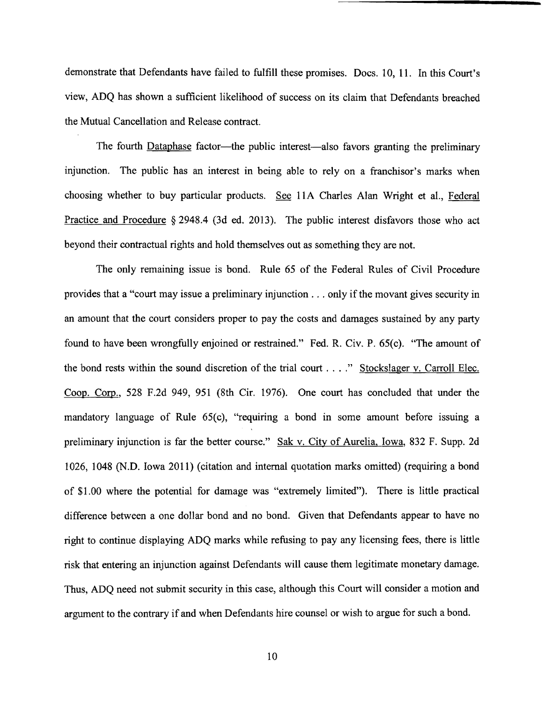demonstrate that Defendants have failed to fulfill these promises. Docs. 10, 11. In this Court's view, ADQ has shown a sufficient likelihood of success on its claim that Defendants breached the Mutual Cancellation and Release contract.

The fourth **Dataphase** factor—the public interest—also favors granting the preliminary injunction. The public has an interest in being able to rely on a franchisor's marks when choosing whether to buy particular products. See 11A Charles Alan Wright et al., Federal Practice and Procedure § 2948.4 (3d ed. 2013). The public interest disfavors those who act beyond their contractual rights and hold themselves out as something they are not.

The only remaining issue is bond. Rule 65 of the Federal Rules of Civil Procedure provides that a "court may issue a preliminary injunction ... only if the movant gives security in an amount that the court considers proper to pay the costs and damages sustained by any party found to have been wrongfully enjoined or restrained." Fed. R. Civ. P. 65(c). "The amount of the bond rests within the sound discretion of the trial court ...." Stockslager v. Carroll Elec. Coop. Corp., 528 F.2d 949, 951 (8th Cir. 1976). One court has concluded that under the mandatory language of Rule 65(c), "requiring a bond in some amount before issuing a preliminary injunction is far the better course." Sak v. City of Aurelia, Iowa, 832 F. Supp. 2d 1026, 1048 (N.D. Iowa 2011) (citation and internal quotation marks omitted) (requiring a bond of \$1.00 where the potential for damage was "extremely limited"). There is little practical difference between a one dollar bond and no bond. Given that Defendants appear to have no right to continue displaying ADQ marks while refusing to pay any licensing fees, there is little risk that entering an injunction against Defendants will cause them legitimate monetary damage. Thus, ADQ need not submit security in this case, although this Court will consider a motion and argument to the contrary if and when Defendants hire counsel or wish to argue for such a bond.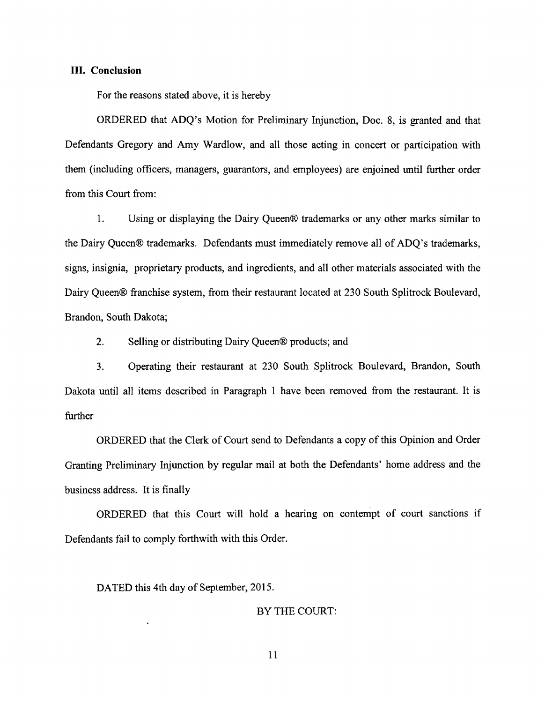### **III. Conclusion**

For the reasons stated above, it is hereby

ORDERED that ADQ's Motion for Preliminary Injunction, Doc. 8, is granted and that Defendants Gregory and Amy Wardlow, and all those acting in concert or participation with them (including officers, managers, guarantors, and employees) are enjoined until further order from this Court from:

1. Using or displaying the Dairy Queen® trademarks or any other marks similar to the Dairy Queen® trademarks. Defendants must immediately remove all of ADQ's trademarks, signs, insignia, proprietary products, and ingredients, and all other materials associated with the Dairy Queen® franchise system, from their restaurant located at 230 South Splitrock Boulevard, Brandon, South Dakota;

2. Selling or distributing Dairy Queen® products; and

3. Operating their restaurant at 230 South Splitrock Boulevard, Brandon, South Dakota until all items described in Paragraph 1 have been removed from the restaurant. It is further

ORDERED that the Clerk of Court send to Defendants a copy of this Opinion and Order Granting Preliminary Injunction by regular mail at both the Defendants' home address and the business address. It is finally

ORDERED that this Court will hold a hearing on contempt of court sanctions if Defendants fail to comply forthwith with this Order.

# DATED this 4th day of September, 2015.

### BY THE COURT:

11